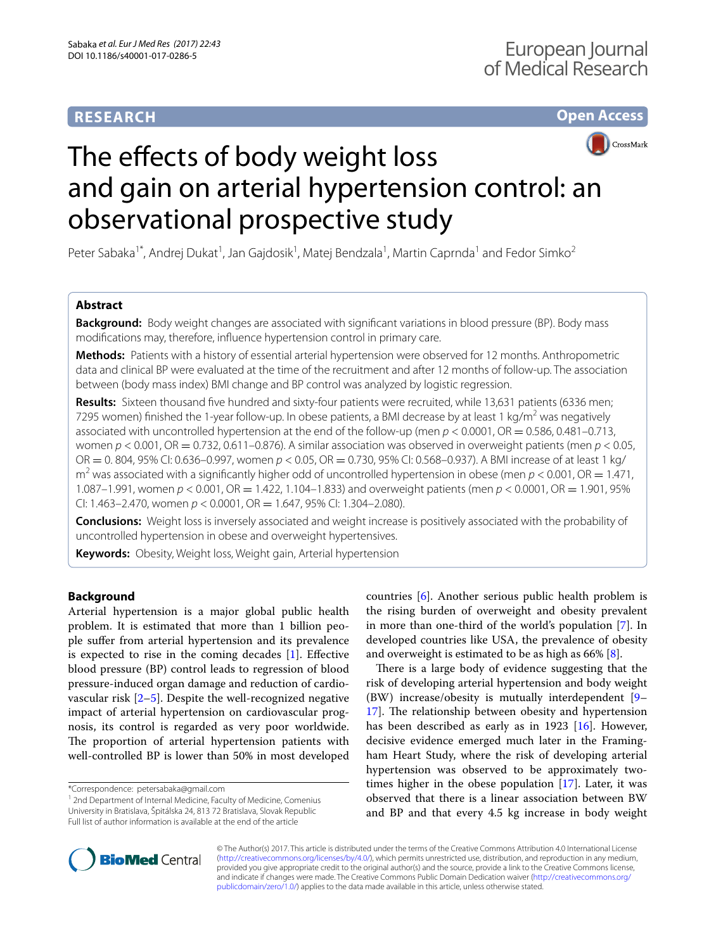# **RESEARCH**

# **Open Access**



# The effects of body weight loss and gain on arterial hypertension control: an observational prospective study

Peter Sabaka<sup>1\*</sup>, Andrej Dukat<sup>1</sup>, Jan Gajdosik<sup>1</sup>, Matej Bendzala<sup>1</sup>, Martin Caprnda<sup>1</sup> and Fedor Simko<sup>2</sup>

# **Abstract**

**Background:** Body weight changes are associated with signifcant variations in blood pressure (BP). Body mass modifcations may, therefore, infuence hypertension control in primary care.

**Methods:** Patients with a history of essential arterial hypertension were observed for 12 months. Anthropometric data and clinical BP were evaluated at the time of the recruitment and after 12 months of follow-up. The association between (body mass index) BMI change and BP control was analyzed by logistic regression.

**Results:** Sixteen thousand fve hundred and sixty-four patients were recruited, while 13,631 patients (6336 men; 7295 women) finished the 1-year follow-up. In obese patients, a BMI decrease by at least 1 kg/m<sup>2</sup> was negatively associated with uncontrolled hypertension at the end of the follow-up (men *p* < 0.0001, OR = 0.586, 0.481–0.713, women  $p < 0.001$ , OR = 0.732, 0.611–0.876). A similar association was observed in overweight patients (men  $p < 0.05$ , OR = 0. 804, 95% CI: 0.636–0.997, women *p* < 0.05, OR = 0.730, 95% CI: 0.568–0.937). A BMI increase of at least 1 kg/ m2 was associated with a signifcantly higher odd of uncontrolled hypertension in obese (men *p* < 0.001, OR = 1.471, 1.087–1.991, women *p* < 0.001, OR = 1.422, 1.104–1.833) and overweight patients (men *p* < 0.0001, OR = 1.901, 95% CI: 1.463–2.470, women *p* < 0.0001, OR = 1.647, 95% CI: 1.304–2.080).

**Conclusions:** Weight loss is inversely associated and weight increase is positively associated with the probability of uncontrolled hypertension in obese and overweight hypertensives.

**Keywords:** Obesity, Weight loss, Weight gain, Arterial hypertension

# **Background**

Arterial hypertension is a major global public health problem. It is estimated that more than 1 billion people suffer from arterial hypertension and its prevalence is expected to rise in the coming decades  $[1]$  $[1]$ . Effective blood pressure (BP) control leads to regression of blood pressure-induced organ damage and reduction of cardiovascular risk [\[2](#page-5-1)[–5](#page-5-2)]. Despite the well-recognized negative impact of arterial hypertension on cardiovascular prognosis, its control is regarded as very poor worldwide. The proportion of arterial hypertension patients with well-controlled BP is lower than 50% in most developed

\*Correspondence: petersabaka@gmail.com

countries [[6\]](#page-5-3). Another serious public health problem is the rising burden of overweight and obesity prevalent in more than one-third of the world's population [\[7](#page-5-4)]. In developed countries like USA, the prevalence of obesity and overweight is estimated to be as high as 66% [[8\]](#page-5-5).

There is a large body of evidence suggesting that the risk of developing arterial hypertension and body weight (BW) increase/obesity is mutually interdependent [[9–](#page-5-6) [17\]](#page-5-7). The relationship between obesity and hypertension has been described as early as in 1923 [\[16](#page-5-8)]. However, decisive evidence emerged much later in the Framingham Heart Study, where the risk of developing arterial hypertension was observed to be approximately twotimes higher in the obese population [[17\]](#page-5-7). Later, it was observed that there is a linear association between BW and BP and that every 4.5 kg increase in body weight



© The Author(s) 2017. This article is distributed under the terms of the Creative Commons Attribution 4.0 International License [\(http://creativecommons.org/licenses/by/4.0/\)](http://creativecommons.org/licenses/by/4.0/), which permits unrestricted use, distribution, and reproduction in any medium, provided you give appropriate credit to the original author(s) and the source, provide a link to the Creative Commons license, and indicate if changes were made. The Creative Commons Public Domain Dedication waiver ([http://creativecommons.org/](http://creativecommons.org/publicdomain/zero/1.0/) [publicdomain/zero/1.0/](http://creativecommons.org/publicdomain/zero/1.0/)) applies to the data made available in this article, unless otherwise stated.

<sup>&</sup>lt;sup>1</sup> 2nd Department of Internal Medicine, Faculty of Medicine, Comenius University in Bratislava, Špitálska 24, 813 72 Bratislava, Slovak Republic Full list of author information is available at the end of the article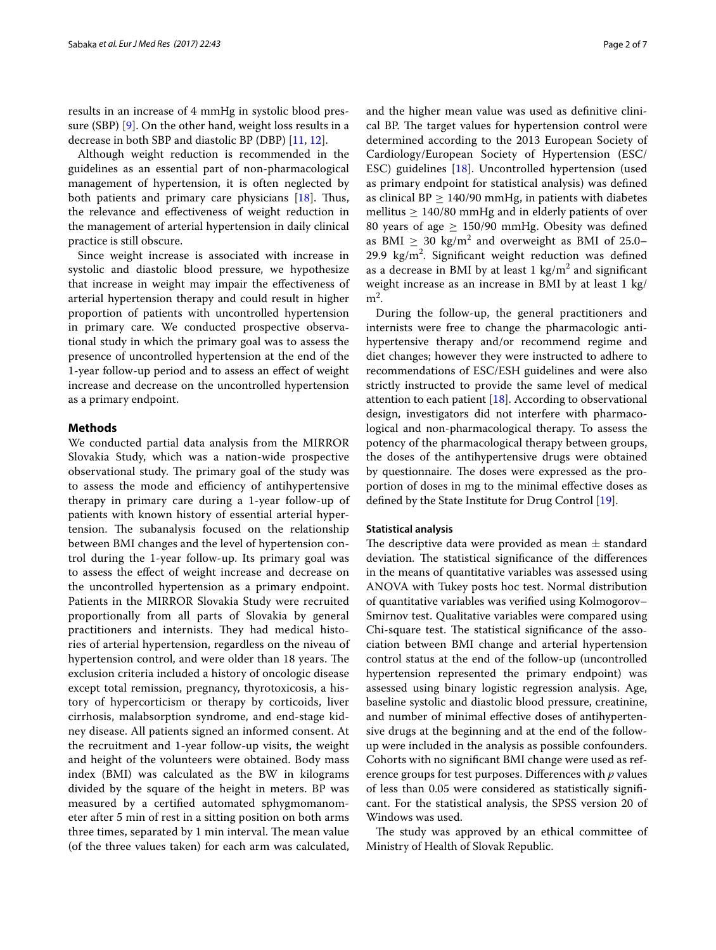results in an increase of 4 mmHg in systolic blood pressure (SBP) [[9\]](#page-5-6). On the other hand, weight loss results in a decrease in both SBP and diastolic BP (DBP) [\[11](#page-5-9), [12\]](#page-5-10).

Although weight reduction is recommended in the guidelines as an essential part of non-pharmacological management of hypertension, it is often neglected by both patients and primary care physicians  $[18]$ . Thus, the relevance and efectiveness of weight reduction in the management of arterial hypertension in daily clinical practice is still obscure.

Since weight increase is associated with increase in systolic and diastolic blood pressure, we hypothesize that increase in weight may impair the efectiveness of arterial hypertension therapy and could result in higher proportion of patients with uncontrolled hypertension in primary care. We conducted prospective observational study in which the primary goal was to assess the presence of uncontrolled hypertension at the end of the 1-year follow-up period and to assess an efect of weight increase and decrease on the uncontrolled hypertension as a primary endpoint.

# **Methods**

We conducted partial data analysis from the MIRROR Slovakia Study, which was a nation-wide prospective observational study. The primary goal of the study was to assess the mode and efficiency of antihypertensive therapy in primary care during a 1-year follow-up of patients with known history of essential arterial hypertension. The subanalysis focused on the relationship between BMI changes and the level of hypertension control during the 1-year follow-up. Its primary goal was to assess the efect of weight increase and decrease on the uncontrolled hypertension as a primary endpoint. Patients in the MIRROR Slovakia Study were recruited proportionally from all parts of Slovakia by general practitioners and internists. They had medical histories of arterial hypertension, regardless on the niveau of hypertension control, and were older than 18 years. The exclusion criteria included a history of oncologic disease except total remission, pregnancy, thyrotoxicosis, a history of hypercorticism or therapy by corticoids, liver cirrhosis, malabsorption syndrome, and end-stage kidney disease. All patients signed an informed consent. At the recruitment and 1-year follow-up visits, the weight and height of the volunteers were obtained. Body mass index (BMI) was calculated as the BW in kilograms divided by the square of the height in meters. BP was measured by a certifed automated sphygmomanometer after 5 min of rest in a sitting position on both arms three times, separated by 1 min interval. The mean value (of the three values taken) for each arm was calculated, and the higher mean value was used as defnitive clinical BP. The target values for hypertension control were determined according to the 2013 European Society of Cardiology/European Society of Hypertension (ESC/ ESC) guidelines [[18\]](#page-5-11). Uncontrolled hypertension (used as primary endpoint for statistical analysis) was defned as clinical  $BP \geq 140/90$  mmHg, in patients with diabetes mellitus  $\geq 140/80$  mmHg and in elderly patients of over 80 years of age  $\geq$  150/90 mmHg. Obesity was defined as BMI  $\geq$  30 kg/m<sup>2</sup> and overweight as BMI of 25.0–  $29.9 \text{ kg/m}^2$ . Significant weight reduction was defined as a decrease in BMI by at least  $1 \text{ kg/m}^2$  and significant weight increase as an increase in BMI by at least 1 kg/  $m^2$ .

During the follow-up, the general practitioners and internists were free to change the pharmacologic antihypertensive therapy and/or recommend regime and diet changes; however they were instructed to adhere to recommendations of ESC/ESH guidelines and were also strictly instructed to provide the same level of medical attention to each patient [\[18](#page-5-11)]. According to observational design, investigators did not interfere with pharmacological and non-pharmacological therapy. To assess the potency of the pharmacological therapy between groups, the doses of the antihypertensive drugs were obtained by questionnaire. The doses were expressed as the proportion of doses in mg to the minimal efective doses as defned by the State Institute for Drug Control [\[19\]](#page-6-0).

## **Statistical analysis**

The descriptive data were provided as mean  $\pm$  standard deviation. The statistical significance of the differences in the means of quantitative variables was assessed using ANOVA with Tukey posts hoc test. Normal distribution of quantitative variables was verifed using Kolmogorov– Smirnov test. Qualitative variables were compared using Chi-square test. The statistical significance of the association between BMI change and arterial hypertension control status at the end of the follow-up (uncontrolled hypertension represented the primary endpoint) was assessed using binary logistic regression analysis. Age, baseline systolic and diastolic blood pressure, creatinine, and number of minimal efective doses of antihypertensive drugs at the beginning and at the end of the followup were included in the analysis as possible confounders. Cohorts with no signifcant BMI change were used as reference groups for test purposes. Diferences with *p* values of less than 0.05 were considered as statistically signifcant. For the statistical analysis, the SPSS version 20 of Windows was used.

The study was approved by an ethical committee of Ministry of Health of Slovak Republic.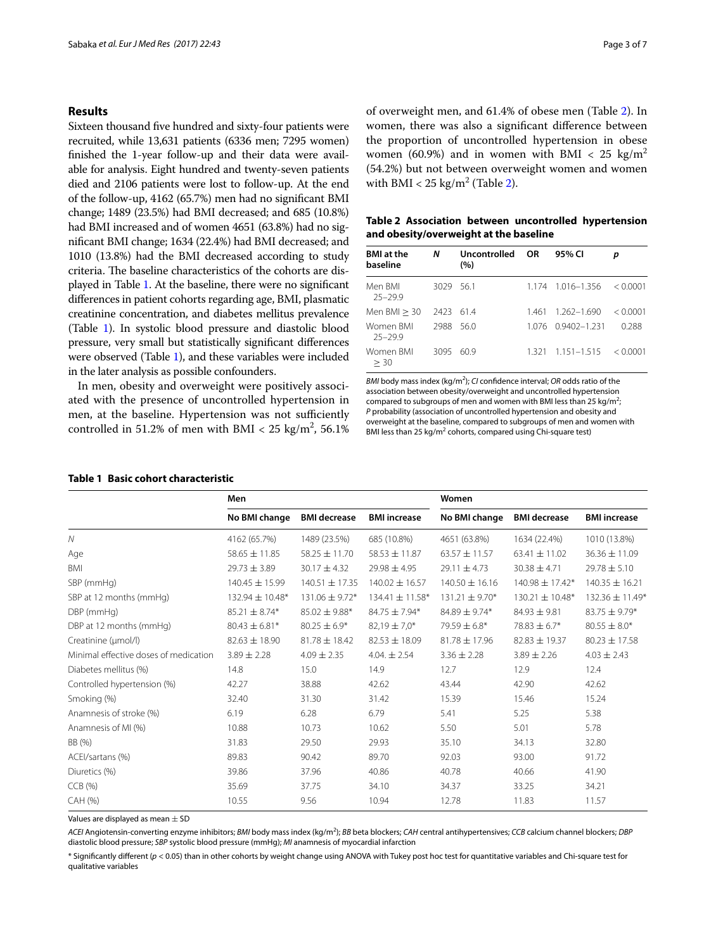# **Results**

Sixteen thousand fve hundred and sixty-four patients were recruited, while 13,631 patients (6336 men; 7295 women) fnished the 1-year follow-up and their data were available for analysis. Eight hundred and twenty-seven patients died and 2106 patients were lost to follow-up. At the end of the follow-up, 4162 (65.7%) men had no signifcant BMI change; 1489 (23.5%) had BMI decreased; and 685 (10.8%) had BMI increased and of women 4651 (63.8%) had no signifcant BMI change; 1634 (22.4%) had BMI decreased; and 1010 (13.8%) had the BMI decreased according to study criteria. The baseline characteristics of the cohorts are displayed in Table [1.](#page-2-0) At the baseline, there were no signifcant diferences in patient cohorts regarding age, BMI, plasmatic creatinine concentration, and diabetes mellitus prevalence (Table [1\)](#page-2-0). In systolic blood pressure and diastolic blood pressure, very small but statistically signifcant diferences were observed (Table [1\)](#page-2-0), and these variables were included in the later analysis as possible confounders.

In men, obesity and overweight were positively associated with the presence of uncontrolled hypertension in men, at the baseline. Hypertension was not sufficiently controlled in 51.2% of men with BMI <  $25 \text{ kg/m}^2$ , 56.1%

of overweight men, and 61.4% of obese men (Table [2\)](#page-2-1). In women, there was also a signifcant diference between the proportion of uncontrolled hypertension in obese women (60.9%) and in women with BMI  $< 25 \text{ kg/m}^2$ (54.2%) but not between overweight women and women with  $BMI < 25 \text{ kg/m}^2 \text{ (Table 2)}.$  $BMI < 25 \text{ kg/m}^2 \text{ (Table 2)}.$  $BMI < 25 \text{ kg/m}^2 \text{ (Table 2)}.$ 

<span id="page-2-1"></span>

|                                        |  |  |  | Table 2 Association between uncontrolled hypertension |  |  |  |
|----------------------------------------|--|--|--|-------------------------------------------------------|--|--|--|
| and obesity/overweight at the baseline |  |  |  |                                                       |  |  |  |

| <b>BMI</b> at the<br>baseline | Ν         | Uncontrolled<br>(%) | OR      | 95% CI             | р        |
|-------------------------------|-----------|---------------------|---------|--------------------|----------|
| Men BMI<br>$25 - 29.9$        | 3029 56.1 |                     | 1 1 7 4 | 1.016-1.356        | < 0.0001 |
| Men BMI $>$ 30                | 2423 614  |                     | 1461    | 1 262-1 690        | < 0.0001 |
| Women RMI<br>$25 - 29.9$      | 2988      | 560                 |         | 1.076 0.9402-1.231 | 0.288    |
| Women BMI<br>> 30             | 3095      | 60.9                | 1 321   | $1.151 - 1.515$    | < 0.0001 |

BMI body mass index (kg/m<sup>2</sup>); *CI* confidence interval; *OR* odds ratio of the association between obesity/overweight and uncontrolled hypertension compared to subgroups of men and women with BMI less than 25 kg/m<sup>2</sup>; *P* probability (association of uncontrolled hypertension and obesity and overweight at the baseline, compared to subgroups of men and women with BMI less than 25 kg/m<sup>2</sup> cohorts, compared using Chi-square test)

## <span id="page-2-0"></span>**Table 1 Basic cohort characteristic**

**Men Women No BMI change BMI decrease BMI increase No BMI change BMI decrease BMI increase** *N* 4162 (65.7%) 1489 (23.5%) 685 (10.8%) 4651 (63.8%) 1634 (22.4%) 1010 (13.8%) Age 58.65  $\pm$  11.85 58.25  $\pm$  11.70 58.53  $\pm$  11.87 63.57  $\pm$  11.57 63.41  $\pm$  11.02 36.36  $\pm$  11.09 BMI 29.73  $\pm$  3.89 30.17  $\pm$  4.32 29.98  $\pm$  4.95 29.11  $\pm$  4.73 30.38  $\pm$  4.71 29.78  $\pm$  5.10 SBP (mmHg) 140.45 ± 15.99 140.51 ± 17.35 140.02 ± 16.57 140.50 ± 16.16 140.98 ± 17.42\* 140.35 ± 16.21 SBP at 12 months (mmHg) 132.94 ± 10.48\* 131.06 ± 9.72\* 134.41 ± 11.58\* 131.21 ± 9.70\* 130.21 ± 10.48\* 132.36 ± 11.49\* DBP (mmHg) 85.21 ± 8.74\* 85.02 ± 9.88\* 84.75 ± 7.94\* 84.89 ± 9.74\* 84.93 ± 9.81 83.75 ± 9.79\* DBP at 12 months (mmHg)  $80.43 \pm 6.81^*$   $80.25 \pm 6.9^*$   $82.19 \pm 7.0^*$   $79.59 \pm 6.8^*$   $78.83 \pm 6.7^*$   $80.55 \pm 8.0^*$ Creatinine (μmol/l) 82.63 ± 18.90 81.78 ± 18.42 82.53 ± 18.09 81.78 ± 17.96 82.83 ± 19.37 80.23 ± 17.58 Minimal effective doses of medication  $3.89 \pm 2.28$   $4.09 \pm 2.35$   $4.04 \pm 2.54$   $3.36 \pm 2.28$   $3.89 \pm 2.26$   $4.03 \pm 2.43$ Diabetes mellitus (%) 14.8 15.0 14.9 12.7 12.9 12.4 Controlled hypertension (%) 42.27 38.88 42.62 43.44 42.90 42.62 Smoking (%) 32.40 31.30 31.42 15.39 15.46 15.24 Anamnesis of stroke (%) 6.19 6.28 6.79 5.41 5.25 5.38 Anamnesis of MI (%) 10.88 10.73 10.62 5.50 5.01 5.78 BB (%) 31.83 29.50 29.93 35.10 34.13 32.80 ACEI/sartans (%) 89.83 90.42 89.70 92.03 93.00 91.72 Diuretics (%) 39.86 37.96 40.86 40.78 40.66 41.90 CCB (%) 35.69 37.75 34.10 34.37 33.25 34.21 CAH (%) 10.55 9.56 10.94 12.78 11.83 11.57

Values are displayed as mean  $\pm$  SD

*ACEI* Angiotensin-converting enzyme inhibitors; *BMI* body mass index (kg/m2 ); *BB* beta blockers; *CAH* central antihypertensives; *CCB* calcium channel blockers; *DBP* diastolic blood pressure; *SBP* systolic blood pressure (mmHg); *MI* anamnesis of myocardial infarction

\* Signifcantly diferent (*p* < 0.05) than in other cohorts by weight change using ANOVA with Tukey post hoc test for quantitative variables and Chi-square test for qualitative variables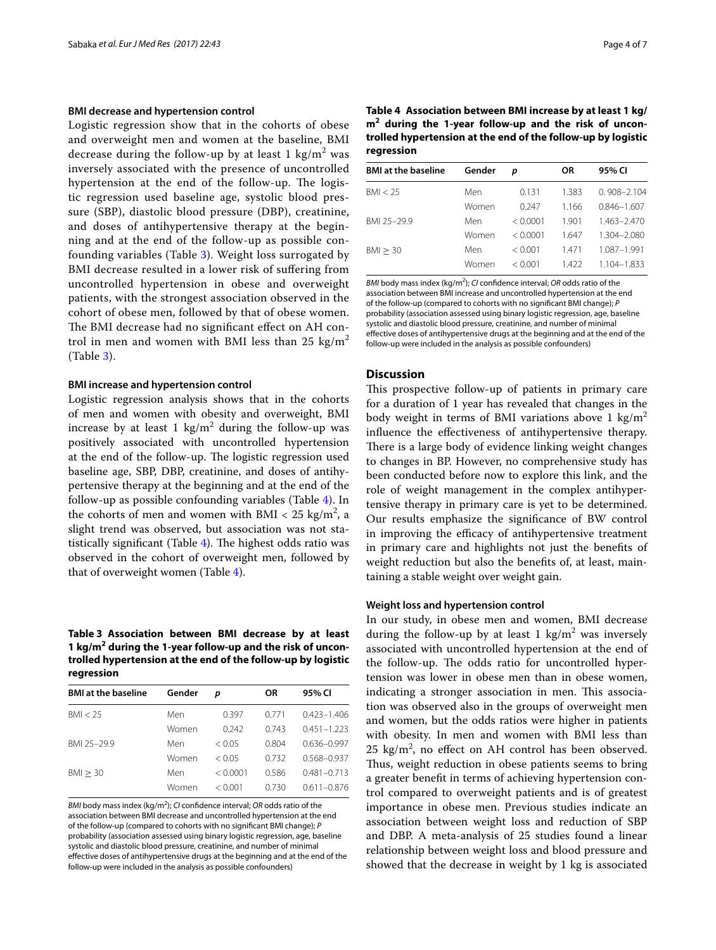# **BMI decrease and hypertension control**

Logistic regression show that in the cohorts of obese and overweight men and women at the baseline, BMI decrease during the follow-up by at least 1 kg/m<sup>2</sup> was inversely associated with the presence of uncontrolled hypertension at the end of the follow-up. The logistic regression used baseline age, systolic blood pressure (SBP), diastolic blood pressure (DBP), creatinine, and doses of antihypertensive therapy at the beginning and at the end of the follow-up as possible confounding variables (Table [3\)](#page-3-0). Weight loss surrogated by BMI decrease resulted in a lower risk of sufering from uncontrolled hypertension in obese and overweight patients, with the strongest association observed in the cohort of obese men, followed by that of obese women. The BMI decrease had no significant effect on AH control in men and women with BMI less than 25  $\text{kg/m}^2$ (Table [3\)](#page-3-0).

#### **BMI increase and hypertension control**

Logistic regression analysis shows that in the cohorts of men and women with obesity and overweight, BMI increase by at least 1  $\text{kg/m}^2$  during the follow-up was positively associated with uncontrolled hypertension at the end of the follow-up. The logistic regression used baseline age, SBP, DBP, creatinine, and doses of antihypertensive therapy at the beginning and at the end of the follow-up as possible confounding variables (Table [4](#page-3-1)). In the cohorts of men and women with BMI <  $25 \text{ kg/m}^2$ , a slight trend was observed, but association was not statistically significant (Table  $4$ ). The highest odds ratio was observed in the cohort of overweight men, followed by that of overweight women (Table [4\)](#page-3-1).

<span id="page-3-0"></span>**Table 3 Association between BMI decrease by at least 1 kg/m2 during the 1-year follow-up and the risk of uncontrolled hypertension at the end of the follow-up by logistic regression**

| <b>BMI</b> at the baseline | Gender | p        | OR      | 95% CI          |
|----------------------------|--------|----------|---------|-----------------|
| BM < 25                    | Men    | 0.397    | 0 7 7 1 | $0.423 - 1.406$ |
|                            | Women  | 0.242    | 0.743   | $0.451 - 1.223$ |
| BMI 25-29.9                | Men    | < 0.05   | 0.804   | $0.636 - 0.997$ |
|                            | Women  | < 0.05   | 0.732   | 0.568-0.937     |
| BM > 30                    | Men    | < 0.0001 | 0.586   | $0.481 - 0.713$ |
|                            | Women  | < 0.001  | 0.730   | $0.611 - 0.876$ |
|                            |        |          |         |                 |

BMI body mass index (kg/m<sup>2</sup>); *CI* confidence interval; *OR* odds ratio of the association between BMI decrease and uncontrolled hypertension at the end of the follow-up (compared to cohorts with no signifcant BMI change); *P* probability (association assessed using binary logistic regression, age, baseline systolic and diastolic blood pressure, creatinine, and number of minimal efective doses of antihypertensive drugs at the beginning and at the end of the follow-up were included in the analysis as possible confounders)

<span id="page-3-1"></span>**Table 4 Association between BMI increase by at least 1 kg/ m2 during the 1-year follow-up and the risk of uncontrolled hypertension at the end of the follow-up by logistic regression**

| Gender | p        | <b>OR</b> | 95% CI          |
|--------|----------|-----------|-----------------|
| Men    | 0.131    | 1.383     | $0.908 - 2.104$ |
| Women  | 0.247    | 1.166     | $0.846 - 1.607$ |
| Men    | < 0.0001 | 1.901     | $1.463 - 2.470$ |
| Women  | < 0.0001 | 1.647     | 1.304-2.080     |
| Men    | < 0.001  | 1.471     | 1.087-1.991     |
| Women  | < 0.001  | 1.422     | 1.104-1.833     |
|        |          |           |                 |

BMI body mass index (kg/m<sup>2</sup>); *CI* confidence interval; *OR* odds ratio of the association between BMI increase and uncontrolled hypertension at the end of the follow-up (compared to cohorts with no signifcant BMI change); *P* probability (association assessed using binary logistic regression, age, baseline systolic and diastolic blood pressure, creatinine, and number of minimal efective doses of antihypertensive drugs at the beginning and at the end of the follow-up were included in the analysis as possible confounders)

## **Discussion**

This prospective follow-up of patients in primary care for a duration of 1 year has revealed that changes in the body weight in terms of BMI variations above 1  $\text{kg/m}^2$ infuence the efectiveness of antihypertensive therapy. There is a large body of evidence linking weight changes to changes in BP. However, no comprehensive study has been conducted before now to explore this link, and the role of weight management in the complex antihypertensive therapy in primary care is yet to be determined. Our results emphasize the signifcance of BW control in improving the efficacy of antihypertensive treatment in primary care and highlights not just the benefts of weight reduction but also the benefts of, at least, maintaining a stable weight over weight gain.

### **Weight loss and hypertension control**

In our study, in obese men and women, BMI decrease during the follow-up by at least 1  $\text{kg/m}^2$  was inversely associated with uncontrolled hypertension at the end of the follow-up. The odds ratio for uncontrolled hypertension was lower in obese men than in obese women, indicating a stronger association in men. This association was observed also in the groups of overweight men and women, but the odds ratios were higher in patients with obesity. In men and women with BMI less than  $25 \text{ kg/m}^2$ , no effect on AH control has been observed. Thus, weight reduction in obese patients seems to bring a greater beneft in terms of achieving hypertension control compared to overweight patients and is of greatest importance in obese men. Previous studies indicate an association between weight loss and reduction of SBP and DBP. A meta-analysis of 25 studies found a linear relationship between weight loss and blood pressure and showed that the decrease in weight by 1 kg is associated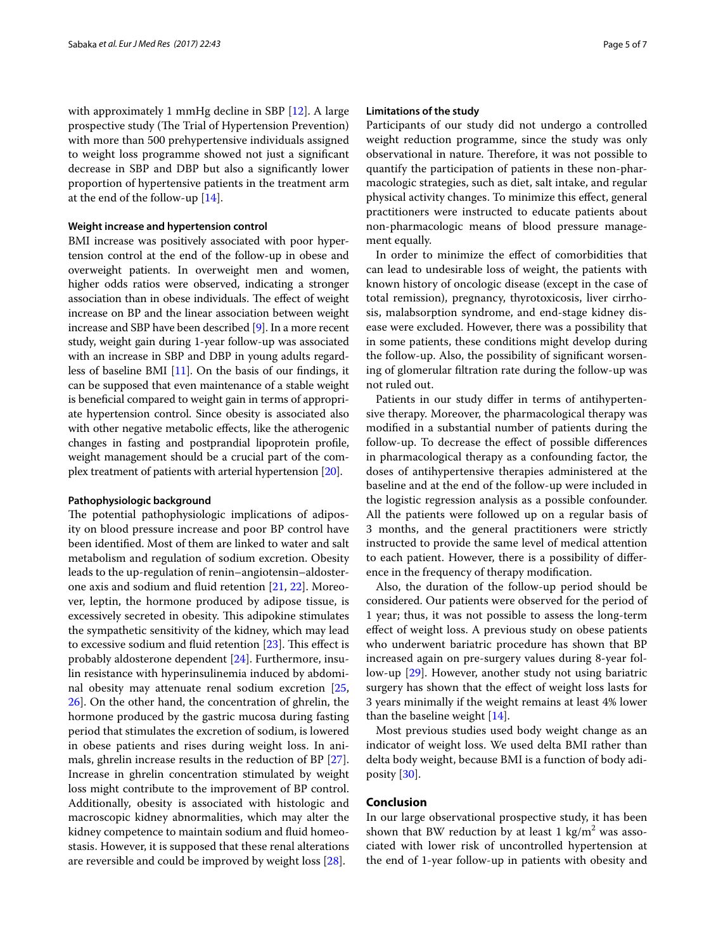with approximately 1 mmHg decline in SBP [[12\]](#page-5-10). A large prospective study (The Trial of Hypertension Prevention) with more than 500 prehypertensive individuals assigned to weight loss programme showed not just a signifcant decrease in SBP and DBP but also a signifcantly lower proportion of hypertensive patients in the treatment arm at the end of the follow-up [\[14](#page-5-12)].

### **Weight increase and hypertension control**

BMI increase was positively associated with poor hypertension control at the end of the follow-up in obese and overweight patients. In overweight men and women, higher odds ratios were observed, indicating a stronger association than in obese individuals. The effect of weight increase on BP and the linear association between weight increase and SBP have been described [[9\]](#page-5-6). In a more recent study, weight gain during 1-year follow-up was associated with an increase in SBP and DBP in young adults regardless of baseline BMI [\[11](#page-5-9)]. On the basis of our fndings, it can be supposed that even maintenance of a stable weight is benefcial compared to weight gain in terms of appropriate hypertension control. Since obesity is associated also with other negative metabolic effects, like the atherogenic changes in fasting and postprandial lipoprotein profle, weight management should be a crucial part of the complex treatment of patients with arterial hypertension [\[20\]](#page-6-1).

#### **Pathophysiologic background**

The potential pathophysiologic implications of adiposity on blood pressure increase and poor BP control have been identifed. Most of them are linked to water and salt metabolism and regulation of sodium excretion. Obesity leads to the up-regulation of renin–angiotensin–aldosterone axis and sodium and fuid retention [[21](#page-6-2), [22](#page-6-3)]. Moreover, leptin, the hormone produced by adipose tissue, is excessively secreted in obesity. This adipokine stimulates the sympathetic sensitivity of the kidney, which may lead to excessive sodium and fluid retention  $[23]$  $[23]$ . This effect is probably aldosterone dependent [[24](#page-6-5)]. Furthermore, insulin resistance with hyperinsulinemia induced by abdominal obesity may attenuate renal sodium excretion [\[25](#page-6-6), [26\]](#page-6-7). On the other hand, the concentration of ghrelin, the hormone produced by the gastric mucosa during fasting period that stimulates the excretion of sodium, is lowered in obese patients and rises during weight loss. In animals, ghrelin increase results in the reduction of BP [\[27](#page-6-8)]. Increase in ghrelin concentration stimulated by weight loss might contribute to the improvement of BP control. Additionally, obesity is associated with histologic and macroscopic kidney abnormalities, which may alter the kidney competence to maintain sodium and fuid homeostasis. However, it is supposed that these renal alterations are reversible and could be improved by weight loss [\[28\]](#page-6-9).

## **Limitations of the study**

Participants of our study did not undergo a controlled weight reduction programme, since the study was only observational in nature. Therefore, it was not possible to quantify the participation of patients in these non-pharmacologic strategies, such as diet, salt intake, and regular physical activity changes. To minimize this efect, general practitioners were instructed to educate patients about non-pharmacologic means of blood pressure management equally.

In order to minimize the efect of comorbidities that can lead to undesirable loss of weight, the patients with known history of oncologic disease (except in the case of total remission), pregnancy, thyrotoxicosis, liver cirrhosis, malabsorption syndrome, and end-stage kidney disease were excluded. However, there was a possibility that in some patients, these conditions might develop during the follow-up. Also, the possibility of signifcant worsening of glomerular fltration rate during the follow-up was not ruled out.

Patients in our study difer in terms of antihypertensive therapy. Moreover, the pharmacological therapy was modifed in a substantial number of patients during the follow-up. To decrease the efect of possible diferences in pharmacological therapy as a confounding factor, the doses of antihypertensive therapies administered at the baseline and at the end of the follow-up were included in the logistic regression analysis as a possible confounder. All the patients were followed up on a regular basis of 3 months, and the general practitioners were strictly instructed to provide the same level of medical attention to each patient. However, there is a possibility of diference in the frequency of therapy modifcation.

Also, the duration of the follow-up period should be considered. Our patients were observed for the period of 1 year; thus, it was not possible to assess the long-term efect of weight loss. A previous study on obese patients who underwent bariatric procedure has shown that BP increased again on pre-surgery values during 8-year follow-up [\[29](#page-6-10)]. However, another study not using bariatric surgery has shown that the efect of weight loss lasts for 3 years minimally if the weight remains at least 4% lower than the baseline weight [\[14\]](#page-5-12).

Most previous studies used body weight change as an indicator of weight loss. We used delta BMI rather than delta body weight, because BMI is a function of body adiposity [\[30\]](#page-6-11).

### **Conclusion**

In our large observational prospective study, it has been shown that BW reduction by at least  $1 \text{ kg/m}^2$  was associated with lower risk of uncontrolled hypertension at the end of 1-year follow-up in patients with obesity and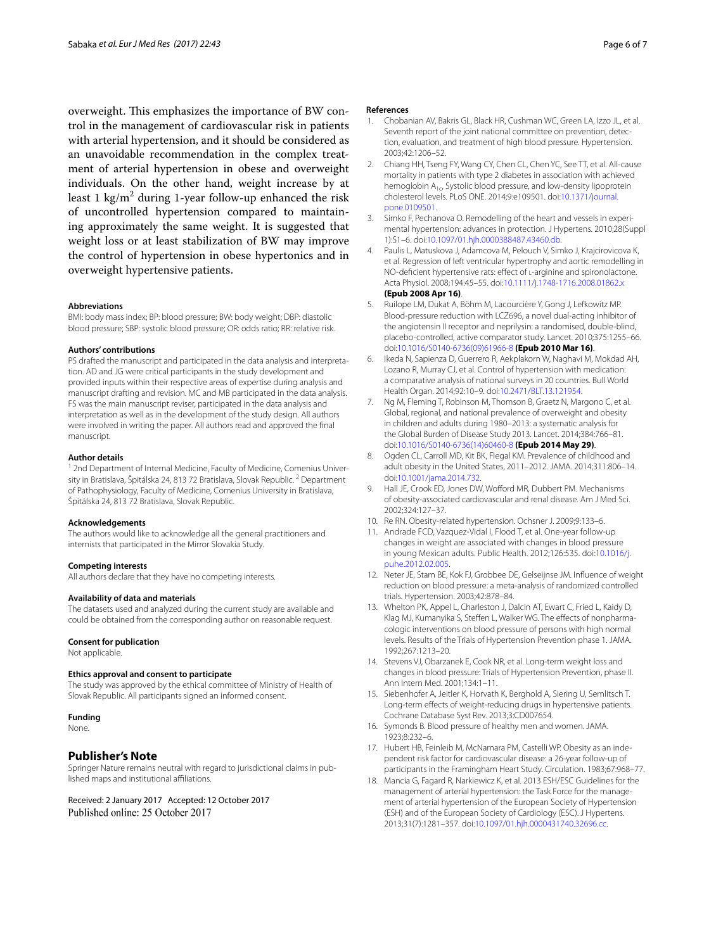overweight. This emphasizes the importance of BW control in the management of cardiovascular risk in patients with arterial hypertension, and it should be considered as an unavoidable recommendation in the complex treatment of arterial hypertension in obese and overweight individuals. On the other hand, weight increase by at least 1 kg/m<sup>2</sup> during 1-year follow-up enhanced the risk of uncontrolled hypertension compared to maintaining approximately the same weight. It is suggested that weight loss or at least stabilization of BW may improve the control of hypertension in obese hypertonics and in overweight hypertensive patients.

#### **Abbreviations**

BMI: body mass index; BP: blood pressure; BW: body weight; DBP: diastolic blood pressure; SBP: systolic blood pressure; OR: odds ratio; RR: relative risk.

#### **Authors' contributions**

PS drafted the manuscript and participated in the data analysis and interpretation. AD and JG were critical participants in the study development and provided inputs within their respective areas of expertise during analysis and manuscript drafting and revision. MC and MB participated in the data analysis. FS was the main manuscript reviser, participated in the data analysis and interpretation as well as in the development of the study design. All authors were involved in writing the paper. All authors read and approved the fnal manuscript.

#### **Author details**

2nd Department of Internal Medicine, Faculty of Medicine, Comenius University in Bratislava, Špitálska 24, 813 72 Bratislava, Slovak Republic.<sup>2</sup> Department of Pathophysiology, Faculty of Medicine, Comenius University in Bratislava, Špitálska 24, 813 72 Bratislava, Slovak Republic.

#### **Acknowledgements**

The authors would like to acknowledge all the general practitioners and internists that participated in the Mirror Slovakia Study.

#### **Competing interests**

All authors declare that they have no competing interests.

#### **Availability of data and materials**

The datasets used and analyzed during the current study are available and could be obtained from the corresponding author on reasonable request.

#### **Consent for publication**

Not applicable.

## **Ethics approval and consent to participate**

The study was approved by the ethical committee of Ministry of Health of Slovak Republic. All participants signed an informed consent.

#### **Funding**

None.

### **Publisher's Note**

Springer Nature remains neutral with regard to jurisdictional claims in published maps and institutional afliations.

Received: 2 January 2017 Accepted: 12 October 2017 Published online: 25 October 2017

#### **References**

- <span id="page-5-0"></span>1. Chobanian AV, Bakris GL, Black HR, Cushman WC, Green LA, Izzo JL, et al. Seventh report of the joint national committee on prevention, detection, evaluation, and treatment of high blood pressure. Hypertension. 2003;42:1206–52.
- <span id="page-5-1"></span>2. Chiang HH, Tseng FY, Wang CY, Chen CL, Chen YC, See TT, et al. All-cause mortality in patients with type 2 diabetes in association with achieved hemoglobin A<sub>1c</sub>, Systolic blood pressure, and low-density lipoprotein cholesterol levels. PLoS ONE. 2014;9:e109501. doi:[10.1371/journal.](http://dx.doi.org/10.1371/journal.pone.0109501) [pone.0109501](http://dx.doi.org/10.1371/journal.pone.0109501).
- 3. Simko F, Pechanova O. Remodelling of the heart and vessels in experimental hypertension: advances in protection. J Hypertens. 2010;28(Suppl 1):S1–6. doi[:10.1097/01.hjh.0000388487.43460.db](http://dx.doi.org/10.1097/01.hjh.0000388487.43460.db).
- 4. Paulis L, Matuskova J, Adamcova M, Pelouch V, Simko J, Krajcirovicova K, et al. Regression of left ventricular hypertrophy and aortic remodelling in NO-deficient hypertensive rats: effect of L-arginine and spironolactone. Acta Physiol. 2008;194:45–55. doi[:10.1111/j.1748-1716.2008.01862.x](http://dx.doi.org/10.1111/j.1748-1716.2008.01862.x) **(Epub 2008 Apr 16)**.
- <span id="page-5-2"></span>5. Ruilope LM, Dukat A, Böhm M, Lacourcière Y, Gong J, Lefkowitz MP. Blood-pressure reduction with LCZ696, a novel dual-acting inhibitor of the angiotensin II receptor and neprilysin: a randomised, double-blind, placebo-controlled, active comparator study. Lancet. 2010;375:1255–66. doi:[10.1016/S0140-6736\(09\)61966-8](http://dx.doi.org/10.1016/S0140-6736(09)61966-8) **(Epub 2010 Mar 16)**.
- <span id="page-5-3"></span>6. Ikeda N, Sapienza D, Guerrero R, Aekplakorn W, Naghavi M, Mokdad AH, Lozano R, Murray CJ, et al. Control of hypertension with medication: a comparative analysis of national surveys in 20 countries. Bull World Health Organ. 2014;92:10–9. doi:[10.2471/BLT.13.121954](http://dx.doi.org/10.2471/BLT.13.121954).
- <span id="page-5-4"></span>7. Ng M, Fleming T, Robinson M, Thomson B, Graetz N, Margono C, et al. Global, regional, and national prevalence of overweight and obesity in children and adults during 1980–2013: a systematic analysis for the Global Burden of Disease Study 2013. Lancet. 2014;384:766–81. doi:[10.1016/S0140-6736\(14\)60460-8](http://dx.doi.org/10.1016/S0140-6736(14)60460-8) **(Epub 2014 May 29)**.
- <span id="page-5-5"></span>8. Ogden CL, Carroll MD, Kit BK, Flegal KM. Prevalence of childhood and adult obesity in the United States, 2011–2012. JAMA. 2014;311:806–14. doi:[10.1001/jama.2014.732](http://dx.doi.org/10.1001/jama.2014.732).
- <span id="page-5-6"></span>9. Hall JE, Crook ED, Jones DW, Wofford MR, Dubbert PM. Mechanisms of obesity-associated cardiovascular and renal disease. Am J Med Sci. 2002;324:127–37.
- 10. Re RN. Obesity-related hypertension. Ochsner J. 2009;9:133–6.
- <span id="page-5-9"></span>11. Andrade FCD, Vazquez-Vidal I, Flood T, et al. One-year follow-up changes in weight are associated with changes in blood pressure in young Mexican adults. Public Health. 2012;126:535. doi:[10.1016/j.](http://dx.doi.org/10.1016/j.puhe.2012.02.005) [puhe.2012.02.005](http://dx.doi.org/10.1016/j.puhe.2012.02.005).
- <span id="page-5-10"></span>12. Neter JE, Stam BE, Kok FJ, Grobbee DE, Gelseijnse JM. Infuence of weight reduction on blood pressure: a meta-analysis of randomized controlled trials. Hypertension. 2003;42:878–84.
- 13. Whelton PK, Appel L, Charleston J, Dalcin AT, Ewart C, Fried L, Kaidy D, Klag MJ, Kumanyika S, Steffen L, Walker WG. The effects of nonpharmacologic interventions on blood pressure of persons with high normal levels. Results of the Trials of Hypertension Prevention phase 1. JAMA. 1992;267:1213–20.
- <span id="page-5-12"></span>14. Stevens VJ, Obarzanek E, Cook NR, et al. Long-term weight loss and changes in blood pressure: Trials of Hypertension Prevention, phase II. Ann Intern Med. 2001;134:1–11.
- 15. Siebenhofer A, Jeitler K, Horvath K, Berghold A, Siering U, Semlitsch T. Long-term effects of weight-reducing drugs in hypertensive patients. Cochrane Database Syst Rev. 2013;3:CD007654.
- <span id="page-5-8"></span>16. Symonds B. Blood pressure of healthy men and women. JAMA. 1923;8:232–6.
- <span id="page-5-7"></span>17. Hubert HB, Feinleib M, McNamara PM, Castelli WP. Obesity as an independent risk factor for cardiovascular disease: a 26-year follow-up of participants in the Framingham Heart Study. Circulation. 1983;67:968–77.
- <span id="page-5-11"></span>18. Mancia G, Fagard R, Narkiewicz K, et al. 2013 ESH/ESC Guidelines for the management of arterial hypertension: the Task Force for the management of arterial hypertension of the European Society of Hypertension (ESH) and of the European Society of Cardiology (ESC). J Hypertens. 2013;31(7):1281–357. doi[:10.1097/01.hjh.0000431740.32696.cc.](http://dx.doi.org/10.1097/01.hjh.0000431740.32696.cc)